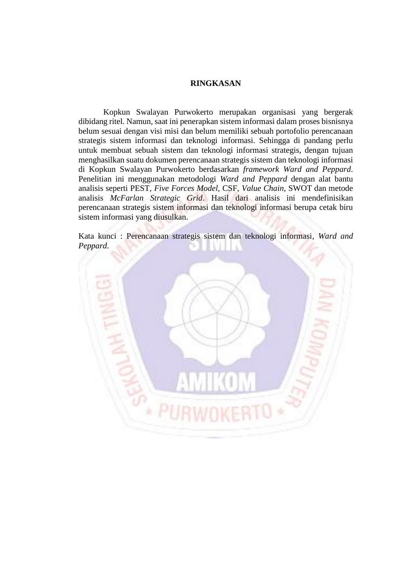## **RINGKASAN**

Kopkun Swalayan Purwokerto merupakan organisasi yang bergerak dibidang ritel. Namun, saat ini penerapkan sistem informasi dalam proses bisnisnya belum sesuai dengan visi misi dan belum memiliki sebuah portofolio perencanaan strategis sistem informasi dan teknologi informasi. Sehingga di pandang perlu untuk membuat sebuah sistem dan teknologi informasi strategis, dengan tujuan menghasilkan suatu dokumen perencanaan strategis sistem dan teknologi informasi di Kopkun Swalayan Purwokerto berdasarkan *framework Ward and Peppard*. Penelitian ini menggunakan metodologi *Ward and Peppard* dengan alat bantu analisis seperti PEST, *Five Forces Model,* CSF, *Value Chain*, SWOT dan metode analisis *McFarlan Strategic Grid*. Hasil dari analisis ini mendefinisikan perencanaan strategis sistem informasi dan teknologi informasi berupa cetak biru sistem informasi yang diusulkan.

Kata kunci : Perencanaan strategis sistem dan teknologi informasi, *Ward and Peppard*.٠ A T.T  $\pm$